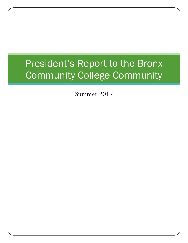## President's Report to the Bronx Community College Community

Summer 2017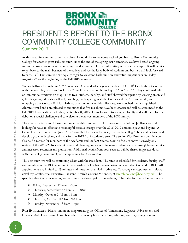## BRONX empire<br>COMMUNIT PRESIDENT'S REPORT TO THE BRONX COMMUNITY COLLEGE COMMUNITY Summer 2017

As this beautiful summer comes to a close, I would like to welcome each of you back to Bronx Community College for another great Fall semester. Since the end of the Spring 2017 semester, we have hosted ongoing summer classes, various camps, meetings, and a number of other interesting activities on campus. It will be nice to get back to the main business of the college and see the large body of students and bustle that I look forward to in the Fall. I am sure you are equally eager to welcome back our new and returning students on Friday, August 25th for the beginning of the Fall 2017 semester.

We are halfway through our 60<sup>th</sup> Anniversary Year and what a year it has been. Our 60<sup>th</sup> Celebration kicked off with the awarding of a New York City Council Proclamation honoring BCC on April 5<sup>th</sup>. They continued with on-campus celebrations on May 11th as BCC students, faculty, and staff showed their pride by wearing green and gold, designing sidewalk chalk art, tweeting, participating in student raffles and the African parade, and wrapping up at Colston Hall for birthday cake. In honor of this milestone, we launched the Distinguished Alumni Award and I am pleased to announce that five (5) alums have been chosen and will be announced at the Fall 2017 Convocation on Friday, September 8, 2017. I look forward to seeing all faculty and staff there for the debut of a special challenge and to welcome the newest members of the BCC family.

The executive team and I have spent much of this summer plan for the second half of our Jubilee Year and looking for ways to effectuate meaningful positive change over the 2016-2017 academic year and beyond. A Cabinet retreat was held on June 9<sup>th</sup> in Snow Hall to review the year, discuss the college's financial picture, and develop goals, objectives, and plans for the 2017-2018 academic year. The Senior Vice President and Provost also held a retreat for members of the Academic and Student Success team to focused more narrowly on a review of the 2015-2016 academic year and planning for ways to increase student success through better service and increased retention and graduation. Additional details from both retreats will be shared in greater detail with the College community at the upcoming Fall Convocation.

This semester, we will be continuing Chats with the President. This time is scheduled for students, faculty, staff, and members of the BCC community who wish to hold a brief conversation on any subject related to BCC. All appointments are limited to 25 minutes and must be scheduled in advance. To arrange an appointment, please email my Confidential Executive Assistant, Amirah Cousins Melendez, at [amirah.cousins@bcc.cuny.edu.](mailto:amirah.cousins@bcc.cuny.edu) The specific subject of your meeting request must be shared prior to scheduling. The dates for the Fall semester are:

- $\triangleright$  Friday, September 1<sup>st</sup> from 1-3pm
- $\triangleright$  Thursday, September 7<sup>th</sup> from 9-10:30am
- Monday, October 2nd from 1-3pm
- $\triangleright$  Thursday, October 18<sup>th</sup> from 9-11am
- $\triangleright$  Tuesday, November 7<sup>th</sup> from 1-3pm

**FALL ENROLLMENT:** Please join me in congratulating the Offices of Admissions, Registrar, Advisement, and Financial Aid. These powerhouse teams have been very busy recruiting, advising, and registering new and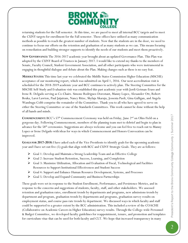

returning students for the Fall semester. At this time, we are paced to meet all internal BCC targets and to meet the CUNY targets for enrollment for the Fall semester. These offices have utilized as many communication methods as possible to reach the greatest number of students. Now that the students are in the door, we need to continue to focus our efforts on the retention and graduation of as many students as we can. This means focusing on remediation and building stronger supports to identify the needs of our students and meet them proactively.

**NEW GOVERNANCE:** The 2016-2017 academic year brought about an updated Governance Plan. This Plan was adopted by the CUNY Board of Trustees in January 2017. I would like to extend my thanks to the members of Senate, Faculty Council, Student Government Association, and all other participants who were instrumental in engaging in thoughtful dialogue and debate about the Plan. Making changes such as these is no easy feat.

**MIDDLE STATES:** This time last year we celebrated the Middle States Commission Higher Education (MSCHE) acceptance of our monitoring report, which was submitted on April 1, 2016. Our next accreditation visit is scheduled for the 2018-2019 academic year and BCC continues to actively plan. The Steering Committee for the MSCHE Self-Study and Evaluation visit was established this past academic year with Jordi Getman-Eraso and Irene R. Delgado serving as Co-Chairs. Simone Rodriguez-Dorestant, Manny Lopez, Alexander Ott, Robert Beuka, Laroi Lawton, Paul Jaijairam, Nancy Ritze, Shylaja Akaraju, Jessenia Paoli, Gina Galligan, and Angela Wambugu Cobb comprise the remainder of the Committee. Thank you to all who have agreed to serve on either the Steering Committee or one of the Standards Committees. This work cannot be done without the help of all hands and minds.

**COMMENCEMENT:** BCC's 57<sup>th</sup> Commencement Ceremony was held on Friday, June 2<sup>nd</sup> on Ohio Field on a gorgeous day. Following Commencement, members of the planning team met to debrief and begin to plan in advance for the  $58<sup>th</sup>$  ceremonies. Suggestions are always welcome and you can feel free to reach out to Manny Lopez or Irene Delgado with ideas for ways in which Commencement and Honors Convocation can be improved.

**GOALS FOR 2017-2018:** I have asked each of the Vice Presidents to identify goals for the upcoming academic year and I have set out five (5) goals that align with BCC and CUNY Strategic Goals. They are as follows:

- Goal 1: Develop and Maintain a Strong Leadership Team and an Effective College
- Goal 2: Increase Student Retention, Success, Learning, and Completion
- $\triangleright$  Goal 3: Maximize Utilization, Allocation and Evaluation of Fiscal, Technological and Facilities Resources to Support Institutional Effectiveness and Student Success
- Goal 4: Support and Enhance Human Resource Development, Systems, and Processes
- Goal 5: Develop and Expand Community and Business Partnerships

These goals were set in response to the Student Enrollment, Performance, and Persistence Metrics, and in response to the concerns and suggestions of students, faculty, staff, and other stakeholders. We assessed retention and graduation rates, enrollment trends by departments and programs, new admissions trends by department and program, graduation trends by departments and programs, graduation survey results on employment status, and course pass rate trends by department. We discussed ways in which faculty and staff could be supported to a greater extent by the BCC administration. This included a review of the COACHE (Collaborative on Academic Careers in Higher Education) survey results. Through the College-wide Personnel & Budget Committee, we developed faculty guidelines for reappointment, tenure, and promotion and templates for curriculum vitae that can be used for both faculty and CLT. We hope that increased transparency in many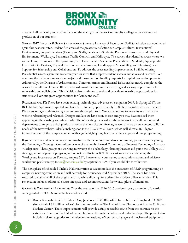

areas will allow faculty and staff to focus on the main goal of Bronx Community College – the success and graduation of our students.

**SPRING 2017 FACULTY & STAFF SATISFACTION SURVEY:** A survey of Faculty and Staff Satisfaction was conducted again this past semester. It identified areas of the greatest satisfaction as Campus Culture, Instructional Environment, Support Services (Faculty and Staff), Services to Students, Personnel Resources, and Physical Environment (Walkways, Pedestrian Traffic Control, and Hallways). The survey also identified areas where we can seek improvements in the upcoming year. These include Academic Preparation of Students, Appropriate Use of Mobile Devices, Physical Environment (Bathrooms, Handicapped Accessibility, and Elevators), and Support for Scholarship and Collaboration. To address the areas needing improvement, I will be offering Presidential Grants again this academic year for ideas that support student success initiatives and research. We continue the bathroom renovation project and movement on funding requests for capital renovation projects. Additionally, the Division of Advancement, Communications and External Relations has nearly completed the search for a full time Grants Officer, who will assist the campus in identifying and seeking opportunities for scholarship and collabration. This Division also continues to seek and provide scholarship opportunities for students and various grant opportunities for faculty and staff.

**FACILITIES AND IT:** There have been exciting technological advances on campus in 2017. In Spring 2017, the BCC Mobile App was completed and launched. To date, approximately 1,000 have registered to use the app. Please encourage students to register and use this helpful tool. We also continue to move forward with the website rebranding and relaunch. Designs and layouts have been chosen and you may have noticed them appearing on the existing website already. The rebranding team will continue to work with all divisions and departments to migrate existing information to the new site and format, as well as create new content to fit the needs of the new website. Also launching soon is the BCC Virtual Tour, which will allow a 360-degree interactive tour of the campus coupled with a guide highlighting features of the campus and our programming.

If you are interested in becoming more involved with technology initiatives on campus, please consider joining the Technology Oversight Committee or one of the newly-formed Community of Interest Technology Advisory Workgroups. These groups are working to revamp the Technology Planning Process and guide the College's IT strategy, monitor project progress, and report on efforts. A BCC Broadcast was sent out detailing the Workgroup focus areas on Tuesday, August 22<sup>nd</sup>. Please email your name, contact information, and advisory workgroup preference(s) to  $\underline{toc(\mathcal{Q}bcc.cuny.edu}$  by September 15<sup>th</sup>, if you would like to volunteer.

The next phase of scheduled Nichols Hall renovation to accommodate the expansion of ASAP programming on campus is nearing completion and will be ready for occupancy mid-September 2017. The space has been restored to maintain all of the original charm, while allowing for updates for modern office amenities. This renovation includes additional classroom space and accommodations for twenty-plus staff members.

**GRANTS & COMMUNITY ACTIVITIES:** Over the course of the 2016-2017 academic year, a number of awards were granted to BCC. Some notable awards include:

 Bronx Borough President Ruben Diaz, Jr. allocated \$500K, which has a state matching fund of \$500K (for a total of \$1 million dollars), for the renovation of The Hall of Fame Playhouse at Roscoe C. Brown Student Center. These improvements will provide a fully accessible route from the entrance to the exterior entrance of the Hall of Fame Playhouse through the lobby, and onto the stage. The project also includes related upgrades to the telecommunications, AV systems, signage and mechanical equipment.